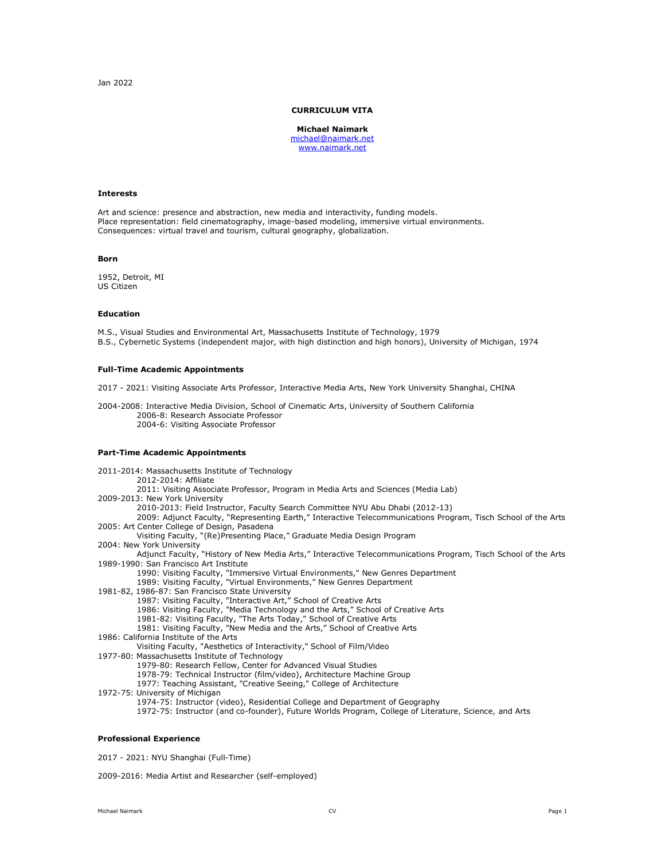# **CURRICULUM VITA**

**Michael Naimark** [michael@naimark.net](mailto:michael@naimark.net) [www.naimark.net](http://www.naimark.net/)

### **Interests**

Art and science: presence and abstraction, new media and interactivity, funding models. Place representation: field cinematography, image-based modeling, immersive virtual environments. Consequences: virtual travel and tourism, cultural geography, globalization.

### **Born**

1952, Detroit, MI US Citizen

### **Education**

M.S., Visual Studies and Environmental Art, Massachusetts Institute of Technology, 1979 B.S., Cybernetic Systems (independent major, with high distinction and high honors), University of Michigan, 1974

# **Full-Time Academic Appointments**

2017 - 2021: Visiting Associate Arts Professor, Interactive Media Arts, New York University Shanghai, CHINA

2004-2008: Interactive Media Division, School of Cinematic Arts, University of Southern California 2006-8: Research Associate Professor 2004-6: Visiting Associate Professor

# **Part-Time Academic Appointments**

2011-2014: Massachusetts Institute of Technology 2012-2014: Affiliate 2011: Visiting Associate Professor, Program in Media Arts and Sciences (Media Lab) 2009-2013: New York University 2010-2013: Field Instructor, Faculty Search Committee NYU Abu Dhabi (2012-13) 2009: Adjunct Faculty, "Representing Earth," Interactive Telecommunications Program, Tisch School of the Arts 2005: Art Center College of Design, Pasadena Visiting Faculty, "(Re)Presenting Place," Graduate Media Design Program 2004: New York University Adjunct Faculty, "History of New Media Arts," Interactive Telecommunications Program, Tisch School of the Arts 1989-1990: San Francisco Art Institute 1990: Visiting Faculty, "Immersive Virtual Environments," New Genres Department 1989: Visiting Faculty, "Virtual Environments," New Genres Department 1981-82, 1986-87: San Francisco State University 1987: Visiting Faculty, "Interactive Art," School of Creative Arts 1986: Visiting Faculty, "Media Technology and the Arts," School of Creative Arts 1981-82: Visiting Faculty, "The Arts Today," School of Creative Arts 1981: Visiting Faculty, "New Media and the Arts," School of Creative Arts 1986: California Institute of the Arts Visiting Faculty, "Aesthetics of Interactivity," School of Film/Video 1977-80: Massachusetts Institute of Technology 1979-80: Research Fellow, Center for Advanced Visual Studies 1978-79: Technical Instructor (film/video), Architecture Machine Group 1977: Teaching Assistant, "Creative Seeing," College of Architecture 1972-75: University of Michigan 1974-75: Instructor (video), Residential College and Department of Geography

1972-75: Instructor (and co-founder), Future Worlds Program, College of Literature, Science, and Arts

# **Professional Experience**

2017 - 2021: NYU Shanghai (Full-Time)

2009-2016: Media Artist and Researcher (self-employed)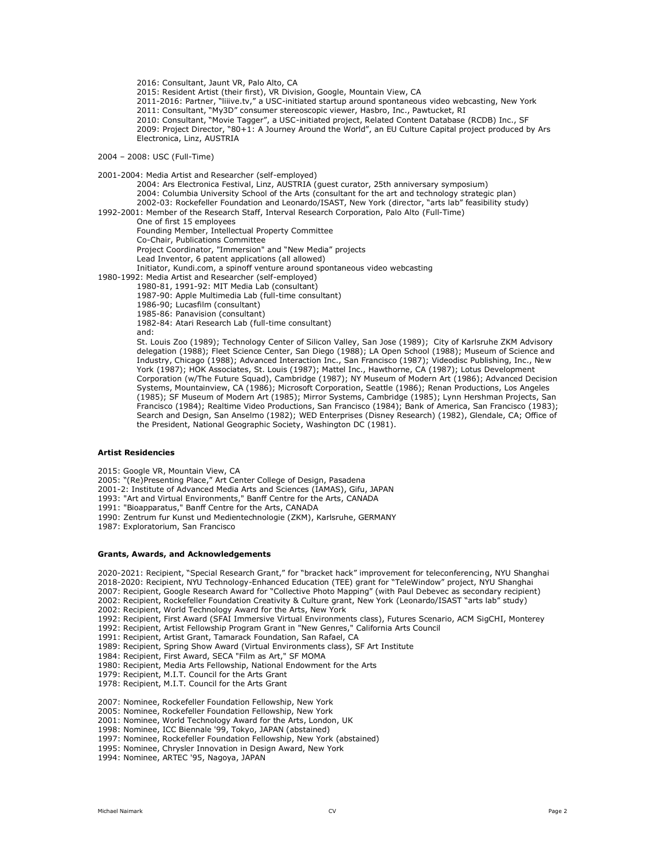2016: Consultant, Jaunt VR, Palo Alto, CA

2015: Resident Artist (their first), VR Division, Google, Mountain View, CA

2011-2016: Partner, "liiive.tv," a USC-initiated startup around spontaneous video webcasting, New York 2011: Consultant, "My3D" consumer stereoscopic viewer, Hasbro, Inc., Pawtucket, RI

2010: Consultant, "Movie Tagger", a USC-initiated project, Related Content Database (RCDB) Inc., SF

2009: Project Director, "80+1: A Journey Around the World", an EU Culture Capital project produced by Ars Electronica, Linz, AUSTRIA

2004 – 2008: USC (Full-Time)

2001-2004: Media Artist and Researcher (self-employed) 2004: Ars Electronica Festival, Linz, AUSTRIA (guest curator, 25th anniversary symposium) 2004: Columbia University School of the Arts (consultant for the art and technology strategic plan) 2002-03: Rockefeller Foundation and Leonardo/ISAST, New York (director, "arts lab" feasibility study) 1992-2001: Member of the Research Staff, Interval Research Corporation, Palo Alto (Full-Time) One of first 15 employees Founding Member, Intellectual Property Committee Co-Chair, Publications Committee Project Coordinator, "Immersion" and "New Media" projects Lead Inventor, 6 patent applications (all allowed) Initiator, Kundi.com, a spinoff venture around spontaneous video webcasting 1980-1992: Media Artist and Researcher (self-employed) 1980-81, 1991-92: MIT Media Lab (consultant) 1987-90: Apple Multimedia Lab (full-time consultant) 1986-90; Lucasfilm (consultant) 1985-86: Panavision (consultant) 1982-84: Atari Research Lab (full-time consultant) and: St. Louis Zoo (1989); Technology Center of Silicon Valley, San Jose (1989); City of Karlsruhe ZKM Advisory delegation (1988); Fleet Science Center, San Diego (1988); LA Open School (1988); Museum of Science and Industry, Chicago (1988); Advanced Interaction Inc., San Francisco (1987); Videodisc Publishing, Inc., New York (1987); HOK Associates, St. Louis (1987); Mattel Inc., Hawthorne, CA (1987); Lotus Development

Corporation (w/The Future Squad), Cambridge (1987); NY Museum of Modern Art (1986); Advanced Decision Systems, Mountainview, CA (1986); Microsoft Corporation, Seattle (1986); Renan Productions, Los Angeles (1985); SF Museum of Modern Art (1985); Mirror Systems, Cambridge (1985); Lynn Hershman Projects, San Francisco (1984); Realtime Video Productions, San Francisco (1984); Bank of America, San Francisco (1983); Search and Design, San Anselmo (1982); WED Enterprises (Disney Research) (1982), Glendale, CA; Office of the President, National Geographic Society, Washington DC (1981).

# **Artist Residencies**

2015: Google VR, Mountain View, CA

2005: "(Re)Presenting Place," Art Center College of Design, Pasadena

2001-2: Institute of Advanced Media Arts and Sciences (IAMAS), Gifu, JAPAN

- 1993: "Art and Virtual Environments," Banff Centre for the Arts, CANADA
- 1991: "Bioapparatus," Banff Centre for the Arts, CANADA
- 1990: Zentrum fur Kunst und Medientechnologie (ZKM), Karlsruhe, GERMANY
- 1987: Exploratorium, San Francisco

# **Grants, Awards, and Acknowledgements**

2020-2021: Recipient, "Special Research Grant," for "bracket hack" improvement for teleconferencing, NYU Shanghai 2018-2020: Recipient, NYU Technology-Enhanced Education (TEE) grant for "TeleWindow" project, NYU Shanghai

2007: Recipient, Google Research Award for "Collective Photo Mapping" (with Paul Debevec as secondary recipient) 2002: Recipient, Rockefeller Foundation Creativity & Culture grant, New York (Leonardo/ISAST "arts lab" study)

2002: Recipient, World Technology Award for the Arts, New York

1992: Recipient, First Award (SFAI Immersive Virtual Environments class), Futures Scenario, ACM SigCHI, Monterey

1992: Recipient, Artist Fellowship Program Grant in "New Genres," California Arts Council

1991: Recipient, Artist Grant, Tamarack Foundation, San Rafael, CA

1989: Recipient, Spring Show Award (Virtual Environments class), SF Art Institute

1984: Recipient, First Award, SECA "Film as Art," SF MOMA 1980: Recipient, Media Arts Fellowship, National Endowment for the Arts

- 1979: Recipient, M.I.T. Council for the Arts Grant
- 1978: Recipient, M.I.T. Council for the Arts Grant
- 

2007: Nominee, Rockefeller Foundation Fellowship, New York

- 2005: Nominee, Rockefeller Foundation Fellowship, New York
- 2001: Nominee, World Technology Award for the Arts, London, UK

1998: Nominee, ICC Biennale '99, Tokyo, JAPAN (abstained)

- 1997: Nominee, Rockefeller Foundation Fellowship, New York (abstained)
- 1995: Nominee, Chrysler Innovation in Design Award, New York

1994: Nominee, ARTEC '95, Nagoya, JAPAN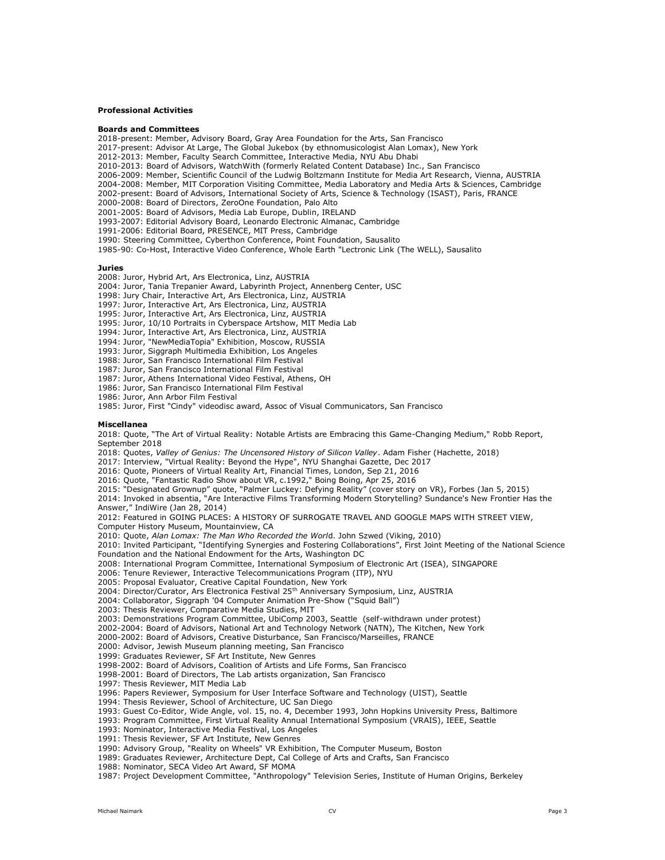# **Professional Activities**

### **Boards and Committees**

2018-present: Member, Advisory Board, Gray Area Foundation for the Arts, San Francisco

- 2017-present: Advisor At Large, The Global Jukebox (by ethnomusicologist Alan Lomax), New York
- 2012-2013: Member, Faculty Search Committee, Interactive Media, NYU Abu Dhabi
- 2010-2013: Board of Advisors, WatchWith (formerly Related Content Database) Inc., San Francisco

2006-2009: Member, Scientific Council of the Ludwig Boltzmann Institute for Media Art Research, Vienna, AUSTRIA

2004-2008: Member, MIT Corporation Visiting Committee, Media Laboratory and Media Arts & Sciences, Cambridge

- 2002-present: Board of Advisors, International Society of Arts, Science & Technology (ISAST), Paris, FRANCE
- 2000-2008: Board of Directors, ZeroOne Foundation, Palo Alto
- 2001-2005: Board of Advisors, Media Lab Europe, Dublin, IRELAND

1993-2007: Editorial Advisory Board, Leonardo Electronic Almanac, Cambridge

1991-2006: Editorial Board, PRESENCE, MIT Press, Cambridge

1990: Steering Committee, Cyberthon Conference, Point Foundation, Sausalito

1985-90: Co-Host, Interactive Video Conference, Whole Earth "Lectronic Link (The WELL), Sausalito

### **Juries**

2008: Juror, Hybrid Art, Ars Electronica, Linz, AUSTRIA

- 2004: Juror, Tania Trepanier Award, Labyrinth Project, Annenberg Center, USC
- 1998: Jury Chair, Interactive Art, Ars Electronica, Linz, AUSTRIA
- 1997: Juror, Interactive Art, Ars Electronica, Linz, AUSTRIA

1995: Juror, Interactive Art, Ars Electronica, Linz, AUSTRIA

1995: Juror, 10/10 Portraits in Cyberspace Artshow, MIT Media Lab

1994: Juror, Interactive Art, Ars Electronica, Linz, AUSTRIA

1994: Juror, "NewMediaTopia" Exhibition, Moscow, RUSSIA

1993: Juror, Siggraph Multimedia Exhibition, Los Angeles

1988: Juror, San Francisco International Film Festival

- 1987: Juror, San Francisco International Film Festival
- 1987: Juror, Athens International Video Festival, Athens, OH
- 1986: Juror, San Francisco International Film Festival
- 1986: Juror, Ann Arbor Film Festival
- 1985: Juror, First "Cindy" videodisc award, Assoc of Visual Communicators, San Francisco

#### **Miscellanea**

2018: Quote, "The Art of Virtual Reality: Notable Artists are Embracing this Game-Changing Medium," Robb Report, September 2018

2018: Quotes, *Valley of Genius: The Uncensored History of Silicon Valley*. Adam Fisher (Hachette, 2018)

2017: Interview, "Virtual Reality: Beyond the Hype", NYU Shanghai Gazette, Dec 2017

2016: Quote, Pioneers of Virtual Reality Art, Financial Times, London, Sep 21, 2016

2016: Quote, "Fantastic Radio Show about VR, c.1992," Boing Boing, Apr 25, 2016

2015: "Designated Grownup" quote, "Palmer Luckey: Defying Reality" (cover story on VR), Forbes (Jan 5, 2015) 2014: Invoked in absentia, "Are Interactive Films Transforming Modern Storytelling? Sundance's New Frontier Has the Answer," IndiWire (Jan 28, 2014)

2012: Featured in GOING PLACES: A HISTORY OF SURROGATE TRAVEL AND GOOGLE MAPS WITH STREET VIEW,

Computer History Museum, Mountainview, CA

2010: Quote, *Alan Lomax: The Man Who Recorded the Worl*d. John Szwed (Viking, 2010)

2010: Invited Participant, "Identifying Synergies and Fostering Collaborations", First Joint Meeting of the National Science Foundation and the National Endowment for the Arts, Washington DC

2008: International Program Committee, International Symposium of Electronic Art (ISEA), SINGAPORE

2006: Tenure Reviewer, Interactive Telecommunications Program (ITP), NYU

2005: Proposal Evaluator, Creative Capital Foundation, New York

2004: Director/Curator, Ars Electronica Festival 25<sup>th</sup> Anniversary Symposium, Linz, AUSTRIA

2004: Collaborator, Siggraph '04 Computer Animation Pre-Show ("Squid Ball")

2003: Thesis Reviewer, Comparative Media Studies, MIT

2003: Demonstrations Program Committee, UbiComp 2003, Seattle (self-withdrawn under protest)

2002-2004: Board of Advisors, National Art and Technology Network (NATN), The Kitchen, New York

2000-2002: Board of Advisors, Creative Disturbance, San Francisco/Marseilles, FRANCE

2000: Advisor, Jewish Museum planning meeting, San Francisco

1999: Graduates Reviewer, SF Art Institute, New Genres

1998-2002: Board of Advisors, Coalition of Artists and Life Forms, San Francisco

- 1998-2001: Board of Directors, The Lab artists organization, San Francisco
- 1997: Thesis Reviewer, MIT Media Lab

1996: Papers Reviewer, Symposium for User Interface Software and Technology (UIST), Seattle

1994: Thesis Reviewer, School of Architecture, UC San Diego

1993: Guest Co-Editor, Wide Angle, vol. 15, no. 4, December 1993, John Hopkins University Press, Baltimore

1993: Program Committee, First Virtual Reality Annual International Symposium (VRAIS), IEEE, Seattle

1993: Nominator, Interactive Media Festival, Los Angeles

1991: Thesis Reviewer, SF Art Institute, New Genres

1990: Advisory Group, "Reality on Wheels" VR Exhibition, The Computer Museum, Boston

1989: Graduates Reviewer, Architecture Dept, Cal College of Arts and Crafts, San Francisco

1988: Nominator, SECA Video Art Award, SF MOMA

1987: Project Development Committee, "Anthropology" Television Series, Institute of Human Origins, Berkeley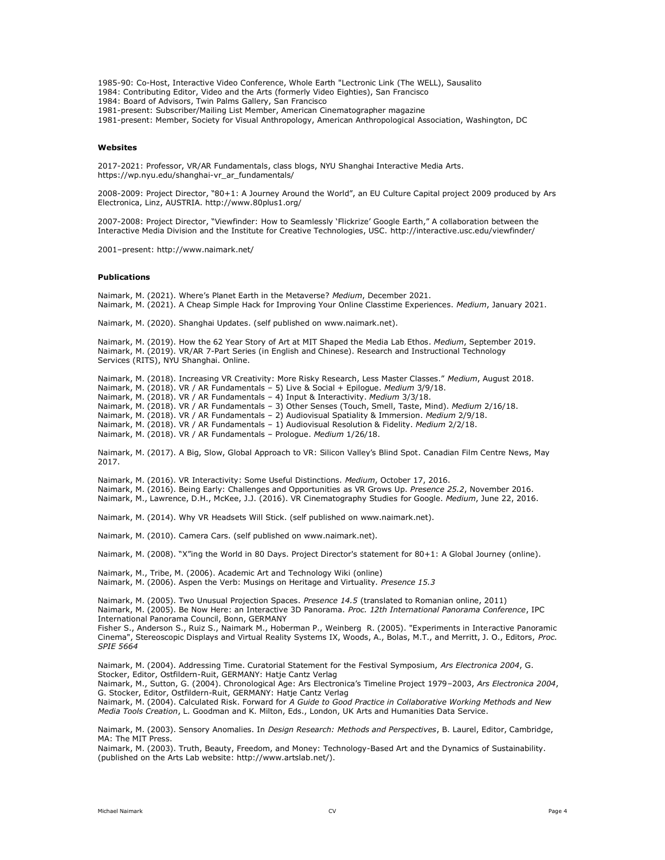1985-90: Co-Host, Interactive Video Conference, Whole Earth "Lectronic Link (The WELL), Sausalito 1984: Contributing Editor, Video and the Arts (formerly Video Eighties), San Francisco 1984: Board of Advisors, Twin Palms Gallery, San Francisco 1981-present: Subscriber/Mailing List Member, American Cinematographer magazine

1981-present: Member, Society for Visual Anthropology, American Anthropological Association, Washington, DC

### **Websites**

2017-2021: Professor, VR/AR Fundamentals, class blogs, NYU Shanghai Interactive Media Arts. https://wp.nyu.edu/shanghai-vr\_ar\_fundamentals/

2008-2009: Project Director, "80+1: A Journey Around the World", an EU Culture Capital project 2009 produced by Ars Electronica, Linz, AUSTRIA. http://www.80plus1.org/

2007-2008: Project Director, "Viewfinder: How to Seamlessly 'Flickrize' Google Earth," A collaboration between the Interactive Media Division and the Institute for Creative Technologies, USC. http://interactive.usc.edu/viewfinder/

2001–present: http://www.naimark.net/

### **Publications**

Naimark, M. (2021). Where's Planet Earth in the Metaverse? *Medium*, December 2021. Naimark, M. (2021). A Cheap Simple Hack for Improving Your Online Classtime Experiences. *Medium*, January 2021.

Naimark, M. (2020). Shanghai Updates. (self published on www.naimark.net).

Naimark, M. (2019). How the 62 Year Story of Art at MIT Shaped the Media Lab Ethos. *Medium*, September 2019. Naimark, M. (2019). VR/AR 7-Part Series (in English and Chinese). Research and Instructional Technology Services (RITS), NYU Shanghai. Online.

Naimark, M. (2018). Increasing VR Creativity: More Risky Research, Less Master Classes." *Medium*, August 2018. Naimark, M. (2018). VR / AR Fundamentals – 5) Live & Social + Epilogue. *Medium* 3/9/18. Naimark, M. (2018). VR / AR Fundamentals – 4) Input & Interactivity. *Medium* 3/3/18. Naimark, M. (2018). VR / AR Fundamentals – 3) Other Senses (Touch, Smell, Taste, Mind). *Medium* 2/16/18. Naimark, M. (2018). VR / AR Fundamentals – 2) Audiovisual Spatiality & Immersion. *Medium* 2/9/18. Naimark, M. (2018). VR / AR Fundamentals – 1) Audiovisual Resolution & Fidelity. *Medium* 2/2/18. Naimark, M. (2018). VR / AR Fundamentals – Prologue. *Medium* 1/26/18.

Naimark, M. (2017). A Big, Slow, Global Approach to VR: Silicon Valley's Blind Spot. Canadian Film Centre News, May 2017.

Naimark, M. (2016). VR Interactivity: Some Useful Distinctions. *Medium*, October 17, 2016.

Naimark, M. (2016). Being Early: Challenges and Opportunities as VR Grows Up. *Presence 25.2*, November 2016. Naimark, M., Lawrence, D.H., McKee, J.J. (2016). VR Cinematography Studies for Google. *Medium*, June 22, 2016.

Naimark, M. (2014). Why VR Headsets Will Stick. (self published on www.naimark.net).

Naimark, M. (2010). Camera Cars. (self published on www.naimark.net).

Naimark, M. (2008). "X"ing the World in 80 Days. Project Director's statement for 80+1: A Global Journey (online).

Naimark, M., Tribe, M. (2006). Academic Art and Technology Wiki (online)

Naimark, M. (2006). Aspen the Verb: Musings on Heritage and Virtuality. *Presence 15.3*

Naimark, M. (2005). Two Unusual Projection Spaces. *Presence 14.5* (translated to Romanian online, 2011) Naimark, M. (2005). Be Now Here: an Interactive 3D Panorama. *Proc. 12th International Panorama Conference*, IPC International Panorama Council, Bonn, GERMANY

Fisher S., Anderson S., Ruiz S., Naimark M., Hoberman P., Weinberg R. (2005). "Experiments in Interactive Panoramic Cinema", Stereoscopic Displays and Virtual Reality Systems IX, Woods, A., Bolas, M.T., and Merritt, J. O., Editors, *Proc. SPIE 5664*

Naimark, M. (2004). Addressing Time. Curatorial Statement for the Festival Symposium, *Ars Electronica 2004*, G. Stocker, Editor, Ostfildern-Ruit, GERMANY: Hatje Cantz Verlag

Naimark, M., Sutton, G. (2004). Chronological Age: Ars Electronica's Timeline Project 1979–2003, *Ars Electronica 2004*, G. Stocker, Editor, Ostfildern-Ruit, GERMANY: Hatje Cantz Verlag

Naimark, M. (2004). Calculated Risk. Forward for *A Guide to Good Practice in Collaborative Working Methods and New Media Tools Creation*, L. Goodman and K. Milton, Eds., London, UK Arts and Humanities Data Service.

Naimark, M. (2003). Sensory Anomalies. In *Design Research: Methods and Perspectives*, B. Laurel, Editor, Cambridge, MA: The MIT Press.

Naimark, M. (2003). Truth, Beauty, Freedom, and Money: Technology-Based Art and the Dynamics of Sustainability. (published on the Arts Lab website: http://www.artslab.net/).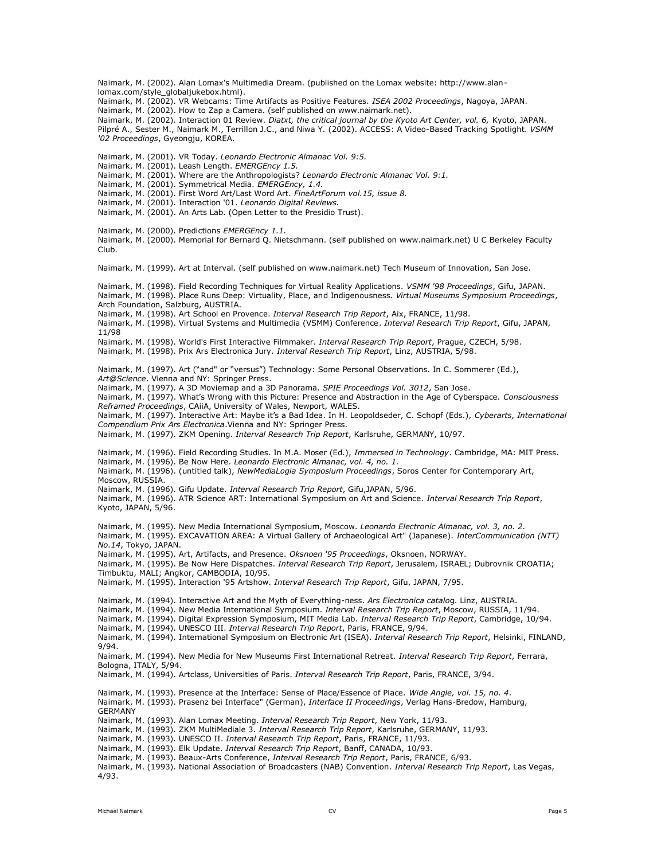lomax.com/style\_globaljukebox.html). Naimark, M. (2002). VR Webcams: Time Artifacts as Positive Features. *ISEA 2002 Proceedings*, Nagoya, JAPAN. Naimark, M. (2002). How to Zap a Camera. (self published on www.naimark.net). Naimark, M. (2002). Interaction 01 Review. *Diatxt, the critical journal by the Kyoto Art Center, vol. 6,* Kyoto, JAPAN. Pilpré A., Sester M., Naimark M., Terrillon J.C., and Niwa Y. (2002). ACCESS: A Video-Based Tracking Spotlight. *VSMM '02 Proceedings*, Gyeongju, KOREA. Naimark, M. (2001). VR Today. *Leonardo Electronic Almanac Vol. 9:5.* Naimark, M. (2001). Leash Length. *EMERGEncy 1.5.* Naimark, M. (2001). Where are the Anthropologists? *Leonardo Electronic Almanac Vol. 9:1.* Naimark, M. (2001). Symmetrical Media. *EMERGEncy, 1.4.* Naimark, M. (2001). First Word Art/Last Word Art. *FineArtForum vol.15, issue 8.* Naimark, M. (2001). Interaction '01. *Leonardo Digital Reviews.* Naimark, M. (2001). An Arts Lab. (Open Letter to the Presidio Trust). Naimark, M. (2000). Predictions *EMERGEncy 1.1.* Naimark, M. (2000). Memorial for Bernard Q. Nietschmann. (self published on www.naimark.net) U C Berkeley Faculty Club. Naimark, M. (1999). Art at Interval. (self published on www.naimark.net) Tech Museum of Innovation, San Jose. Naimark, M. (1998). Field Recording Techniques for Virtual Reality Applications. *VSMM '98 Proceedings*, Gifu, JAPAN. Naimark, M. (1998). Place Runs Deep: Virtuality, Place, and Indigenousness. *Virtual Museums Symposium Proceedings*, Arch Foundation, Salzburg, AUSTRIA. Naimark, M. (1998). Art School en Provence. *Interval Research Trip Report*, Aix, FRANCE, 11/98. Naimark, M. (1998). Virtual Systems and Multimedia (VSMM) Conference. *Interval Research Trip Report*, Gifu, JAPAN, 11/98 Naimark, M. (1998). World's First Interactive Filmmaker. *Interval Research Trip Report*, Prague, CZECH, 5/98. Naimark, M. (1998). Prix Ars Electronica Jury. *Interval Research Trip Report*, Linz, AUSTRIA, 5/98. Naimark, M. (1997). Art ("and" or "versus") Technology: Some Personal Observations. In C. Sommerer (Ed.), *Art@Science*. Vienna and NY: Springer Press. Naimark, M. (1997). A 3D Moviemap and a 3D Panorama. *SPIE Proceedings Vol. 3012*, San Jose. Naimark, M. (1997). What's Wrong with this Picture: Presence and Abstraction in the Age of Cyberspace. *Consciousness Reframed Proceedings*, CAiiA, University of Wales, Newport, WALES. Naimark, M. (1997). Interactive Art: Maybe it's a Bad Idea. In H. Leopoldseder, C. Schopf (Eds.), *Cyberarts, International Compendium Prix Ars Electronica*.Vienna and NY: Springer Press. Naimark, M. (1997). ZKM Opening. *Interval Research Trip Report*, Karlsruhe, GERMANY, 10/97. Naimark, M. (1996). Field Recording Studies. In M.A. Moser (Ed.), *Immersed in Technology*. Cambridge, MA: MIT Press. Naimark, M. (1996). Be Now Here. *Leonardo Electronic Almanac, vol. 4, no. 1.* Naimark, M. (1996). (untitled talk), *NewMediaLogia Symposium Proceedings*, Soros Center for Contemporary Art, Moscow, RUSSIA. Naimark, M. (1996). Gifu Update. *Interval Research Trip Report*, Gifu,JAPAN, 5/96. Naimark, M. (1996). ATR Science ART: International Symposium on Art and Science. *Interval Research Trip Report*, Kyoto, JAPAN, 5/96. Naimark, M. (1995). New Media International Symposium, Moscow. *Leonardo Electronic Almanac, vol. 3, no. 2.* Naimark, M. (1995). EXCAVATION AREA: A Virtual Gallery of Archaeological Art" (Japanese). *InterCommunication (NTT) No.14*, Tokyo, JAPAN. Naimark, M. (1995). Art, Artifacts, and Presence. *Oksnoen '95 Proceedings*, Oksnoen, NORWAY. Naimark, M. (1995). Be Now Here Dispatches. *Interval Research Trip Report*, Jerusalem, ISRAEL; Dubrovnik CROATIA; Timbuktu, MALI; Angkor, CAMBODIA, 10/95. Naimark, M. (1995). Interaction '95 Artshow. *Interval Research Trip Report*, Gifu, JAPAN, 7/95. Naimark, M. (1994). Interactive Art and the Myth of Everything-ness. *Ars Electronica catalo*g. Linz, AUSTRIA. Naimark, M. (1994). New Media International Symposium. *Interval Research Trip Report*, Moscow, RUSSIA, 11/94. Naimark, M. (1994). Digital Expression Symposium, MIT Media Lab. *Interval Research Trip Report*, Cambridge, 10/94. Naimark, M. (1994). UNESCO III. *Interval Research Trip Report*, Paris, FRANCE, 9/94. Naimark, M. (1994). International Symposium on Electronic Art (ISEA). *Interval Research Trip Report*, Helsinki, FINLAND, 9/94. Naimark, M. (1994). New Media for New Museums First International Retreat. *Interval Research Trip Report*, Ferrara, Bologna, ITALY, 5/94. Naimark, M. (1994). Artclass, Universities of Paris. *Interval Research Trip Report*, Paris, FRANCE, 3/94. Naimark, M. (1993). Presence at the Interface: Sense of Place/Essence of Place. *Wide Angle, vol. 15, no. 4*. Naimark, M. (1993). Prasenz bei Interface" (German), *Interface II Proceedings*, Verlag Hans-Bredow, Hamburg, **GERMANY** Naimark, M. (1993). Alan Lomax Meeting. *Interval Research Trip Report*, New York, 11/93. Naimark, M. (1993). ZKM MultiMediale 3. *Interval Research Trip Report*, Karlsruhe, GERMANY, 11/93. Naimark, M. (1993). UNESCO II. *Interval Research Trip Report*, Paris, FRANCE, 11/93. Naimark, M. (1993). Elk Update. *Interval Research Trip Report*, Banff, CANADA, 10/93. Naimark, M. (1993). Beaux-Arts Conference, *Interval Research Trip Report*, Paris, FRANCE, 6/93. Naimark, M. (1993). National Association of Broadcasters (NAB) Convention. *Interval Research Trip Report*, Las Vegas,

Naimark, M. (2002). Alan Lomax's Multimedia Dream. (published on the Lomax website: http://www.alan-

4/93.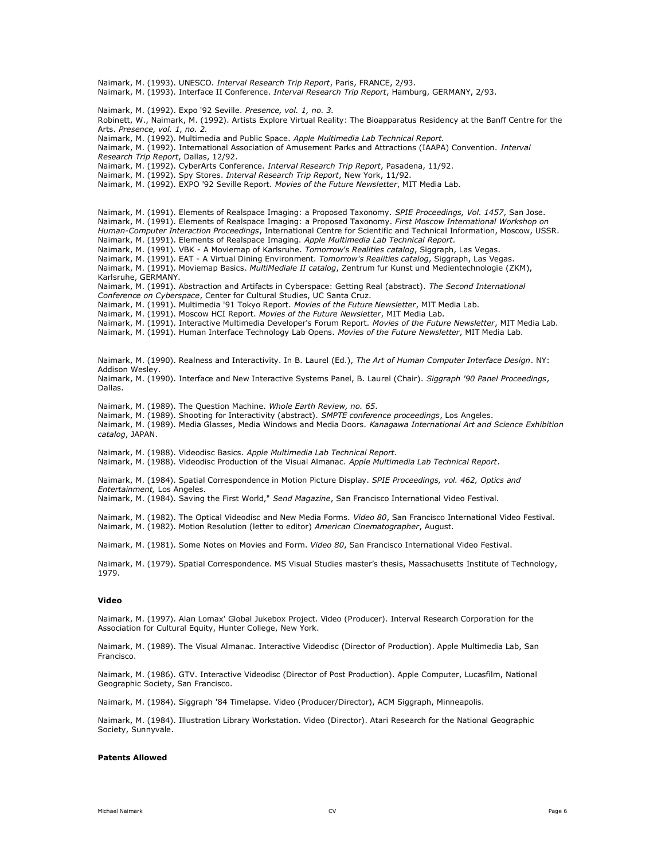Naimark, M. (1993). UNESCO. *Interval Research Trip Report*, Paris, FRANCE, 2/93. Naimark, M. (1993). Interface II Conference. *Interval Research Trip Report*, Hamburg, GERMANY, 2/93. Naimark, M. (1992). Expo '92 Seville. *Presence, vol. 1, no. 3.* Robinett, W., Naimark, M. (1992). Artists Explore Virtual Reality: The Bioapparatus Residency at the Banff Centre for the Arts. *Presence, vol. 1, no. 2.* Naimark, M. (1992). Multimedia and Public Space. *Apple Multimedia Lab Technical Report.* Naimark, M. (1992). International Association of Amusement Parks and Attractions (IAAPA) Convention. *Interval Research Trip Report*, Dallas, 12/92. Naimark, M. (1992). CyberArts Conference. *Interval Research Trip Report*, Pasadena, 11/92. Naimark, M. (1992). Spy Stores. *Interval Research Trip Report*, New York, 11/92. Naimark, M. (1992). EXPO '92 Seville Report. *Movies of the Future Newsletter*, MIT Media Lab. Naimark, M. (1991). Elements of Realspace Imaging: a Proposed Taxonomy. *SPIE Proceedings, Vol. 1457*, San Jose. Naimark, M. (1991). Elements of Realspace Imaging: a Proposed Taxonomy. *First Moscow International Workshop on Human-Computer Interaction Proceedings*, International Centre for Scientific and Technical Information, Moscow, USSR. Naimark, M. (1991). Elements of Realspace Imaging. *Apple Multimedia Lab Technical Report*. Naimark, M. (1991). VBK - A Moviemap of Karlsruhe. *Tomorrow's Realities catalog*, Siggraph, Las Vegas. Naimark, M. (1991). EAT - A Virtual Dining Environment. *Tomorrow's Realities catalog*, Siggraph, Las Vegas. Naimark, M. (1991). Moviemap Basics. *MultiMediale II catalog*, Zentrum fur Kunst und Medientechnologie (ZKM), Karlsruhe, GERMANY. Naimark, M. (1991). Abstraction and Artifacts in Cyberspace: Getting Real (abstract). *The Second International Conference on Cyberspace*, Center for Cultural Studies, UC Santa Cruz. Naimark, M. (1991). Multimedia '91 Tokyo Report. *Movies of the Future Newsletter*, MIT Media Lab. Naimark, M. (1991). Moscow HCI Report. *Movies of the Future Newsletter*, MIT Media Lab. Naimark, M. (1991). Interactive Multimedia Developer's Forum Report. *Movies of the Future Newsletter*, MIT Media Lab. Naimark, M. (1991). Human Interface Technology Lab Opens. *Movies of the Future Newsletter*, MIT Media Lab. Naimark, M. (1990). Realness and Interactivity. In B. Laurel (Ed.), *The Art of Human Computer Interface Design*. NY: Addison Wesley. Naimark, M. (1990). Interface and New Interactive Systems Panel, B. Laurel (Chair). *Siggraph '90 Panel Proceedings*, Dallas. Naimark, M. (1989). The Question Machine. *Whole Earth Review, no. 65*. Naimark, M. (1989). Shooting for Interactivity (abstract). *SMPTE conference proceedings*, Los Angeles. Naimark, M. (1989). Media Glasses, Media Windows and Media Doors. *Kanagawa International Art and Science Exhibition catalog*, JAPAN. Naimark, M. (1988). Videodisc Basics. *Apple Multimedia Lab Technical Report.* Naimark, M. (1988). Videodisc Production of the Visual Almanac. *Apple Multimedia Lab Technical Report*. Naimark, M. (1984). Spatial Correspondence in Motion Picture Display. *SPIE Proceedings, vol. 462, Optics and Entertainment,* Los Angeles. Naimark, M. (1984). Saving the First World," *Send Magazine*, San Francisco International Video Festival. Naimark, M. (1982). The Optical Videodisc and New Media Forms. *Video 80*, San Francisco International Video Festival. Naimark, M. (1982). Motion Resolution (letter to editor) *American Cinematographer*, August. Naimark, M. (1981). Some Notes on Movies and Form. *Video 80*, San Francisco International Video Festival. Naimark, M. (1979). Spatial Correspondence. MS Visual Studies master's thesis, Massachusetts Institute of Technology, 1979. **Video** Naimark, M. (1997). Alan Lomax' Global Jukebox Project. Video (Producer). Interval Research Corporation for the Association for Cultural Equity, Hunter College, New York.

Naimark, M. (1989). The Visual Almanac. Interactive Videodisc (Director of Production). Apple Multimedia Lab, San Francisco.

Naimark, M. (1986). GTV. Interactive Videodisc (Director of Post Production). Apple Computer, Lucasfilm, National Geographic Society, San Francisco.

Naimark, M. (1984). Siggraph '84 Timelapse. Video (Producer/Director), ACM Siggraph, Minneapolis.

Naimark, M. (1984). Illustration Library Workstation. Video (Director). Atari Research for the National Geographic Society, Sunnyvale.

# **Patents Allowed**

Michael Naimark CV Page 6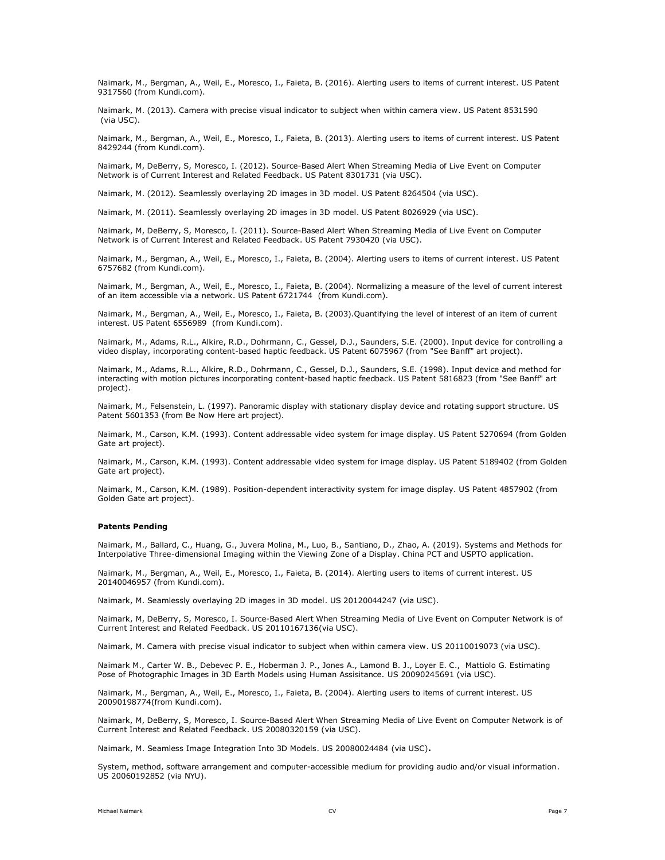Naimark, M., Bergman, A., Weil, E., Moresco, I., Faieta, B. (2016). Alerting users to items of current interest. US Patent 9317560 (from Kundi.com).

Naimark, M. (2013). Camera with precise visual indicator to subject when within camera view. US Patent 8531590 (via USC).

Naimark, M., Bergman, A., Weil, E., Moresco, I., Faieta, B. (2013). Alerting users to items of current interest. US Patent 8429244 (from Kundi.com).

Naimark, M, DeBerry, S, Moresco, I. (2012). Source-Based Alert When Streaming Media of Live Event on Computer Network is of Current Interest and Related Feedback. US Patent 8301731 (via USC).

Naimark, M. (2012). Seamlessly overlaying 2D images in 3D model. US Patent 8264504 (via USC).

Naimark, M. (2011). Seamlessly overlaying 2D images in 3D model. US Patent 8026929 (via USC).

Naimark, M, DeBerry, S, Moresco, I. (2011). Source-Based Alert When Streaming Media of Live Event on Computer Network is of Current Interest and Related Feedback. US Patent 7930420 (via USC).

Naimark, M., Bergman, A., Weil, E., Moresco, I., Faieta, B. (2004). Alerting users to items of current interest. US Patent 6757682 (from Kundi.com).

Naimark, M., Bergman, A., Weil, E., Moresco, I., Faieta, B. (2004). Normalizing a measure of the level of current interest of an item accessible via a network. US Patent 6721744 (from Kundi.com).

Naimark, M., Bergman, A., Weil, E., Moresco, I., Faieta, B. (2003).Quantifying the level of interest of an item of current interest. US Patent 6556989 (from Kundi.com).

Naimark, M., Adams, R.L., Alkire, R.D., Dohrmann, C., Gessel, D.J., Saunders, S.E. (2000). Input device for controlling a video display, incorporating content-based haptic feedback. US Patent 6075967 (from "See Banff" art project).

Naimark, M., Adams, R.L., Alkire, R.D., Dohrmann, C., Gessel, D.J., Saunders, S.E. (1998). Input device and method for interacting with motion pictures incorporating content-based haptic feedback. US Patent 5816823 (from "See Banff" art project).

Naimark, M., Felsenstein, L. (1997). Panoramic display with stationary display device and rotating support structure. US Patent 5601353 (from Be Now Here art project).

Naimark, M., Carson, K.M. (1993). Content addressable video system for image display. US Patent 5270694 (from Golden Gate art project).

Naimark, M., Carson, K.M. (1993). Content addressable video system for image display. US Patent 5189402 (from Golden Gate art project).

Naimark, M., Carson, K.M. (1989). Position-dependent interactivity system for image display. US Patent 4857902 (from Golden Gate art project).

### **Patents Pending**

Naimark, M., Ballard, C., Huang, G., Juvera Molina, M., Luo, B., Santiano, D., Zhao, A. (2019). Systems and Methods for Interpolative Three-dimensional Imaging within the Viewing Zone of a Display. China PCT and USPTO application.

Naimark, M., Bergman, A., Weil, E., Moresco, I., Faieta, B. (2014). Alerting users to items of current interest. US 20140046957 (from Kundi.com).

Naimark, M. Seamlessly overlaying 2D images in 3D model. US 20120044247 (via USC).

Naimark, M, DeBerry, S, Moresco, I. Source-Based Alert When Streaming Media of Live Event on Computer Network is of Current Interest and Related Feedback. US 20110167136(via USC).

Naimark, M. Camera with precise visual indicator to subject when within camera view. US 20110019073 (via USC).

Naimark M., Carter W. B., Debevec P. E., Hoberman J. P., Jones A., Lamond B. J., Loyer E. C., Mattiolo G. Estimating Pose of Photographic Images in 3D Earth Models using Human Assisitance. US 20090245691 (via USC).

Naimark, M., Bergman, A., Weil, E., Moresco, I., Faieta, B. (2004). Alerting users to items of current interest. US 20090198774(from Kundi.com).

Naimark, M, DeBerry, S, Moresco, I. Source-Based Alert When Streaming Media of Live Event on Computer Network is of Current Interest and Related Feedback. US 20080320159 (via USC).

Naimark, M. Seamless Image Integration Into 3D Models. US 20080024484 (via USC)**.**

System, method, software arrangement and computer-accessible medium for providing audio and/or visual information. US 20060192852 (via NYU).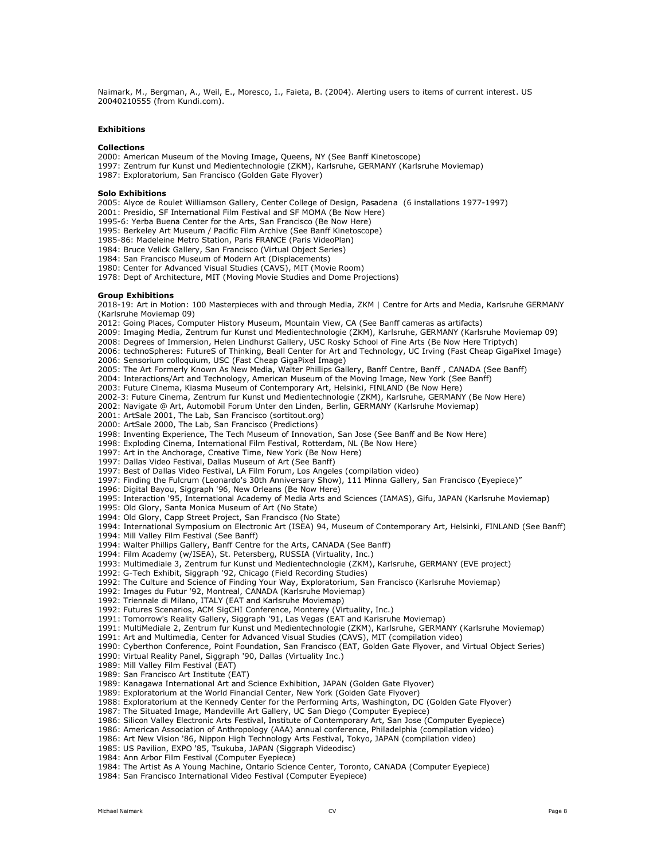Naimark, M., Bergman, A., Weil, E., Moresco, I., Faieta, B. (2004). Alerting users to items of current interest. US 20040210555 (from Kundi.com).

### **Exhibitions**

### **Collections**

2000: American Museum of the Moving Image, Queens, NY (See Banff Kinetoscope)

- 1997: Zentrum fur Kunst und Medientechnologie (ZKM), Karlsruhe, GERMANY (Karlsruhe Moviemap)
- 1987: Exploratorium, San Francisco (Golden Gate Flyover)

### **Solo Exhibitions**

2005: Alyce de Roulet Williamson Gallery, Center College of Design, Pasadena (6 installations 1977-1997)

2001: Presidio, SF International Film Festival and SF MOMA (Be Now Here)

1995-6: Yerba Buena Center for the Arts, San Francisco (Be Now Here)

1995: Berkeley Art Museum / Pacific Film Archive (See Banff Kinetoscope)

1985-86: Madeleine Metro Station, Paris FRANCE (Paris VideoPlan)

1984: Bruce Velick Gallery, San Francisco (Virtual Object Series)

1984: San Francisco Museum of Modern Art (Displacements)

1980: Center for Advanced Visual Studies (CAVS), MIT (Movie Room)

1978: Dept of Architecture, MIT (Moving Movie Studies and Dome Projections)

### **Group Exhibitions**

2018-19: Art in Motion: 100 Masterpieces with and through Media, ZKM | Centre for Arts and Media, Karlsruhe GERMANY (Karlsruhe Moviemap 09)

2012: Going Places, Computer History Museum, Mountain View, CA (See Banff cameras as artifacts)

2009: Imaging Media, Zentrum fur Kunst und Medientechnologie (ZKM), Karlsruhe, GERMANY (Karlsruhe Moviemap 09)

2008: Degrees of Immersion, Helen Lindhurst Gallery, USC Rosky School of Fine Arts (Be Now Here Triptych)

2006: technoSpheres: FutureS of Thinking, Beall Center for Art and Technology, UC Irving (Fast Cheap GigaPixel Image) 2006: Sensorium colloquium, USC (Fast Cheap GigaPixel Image)

2005: The Art Formerly Known As New Media, Walter Phillips Gallery, Banff Centre, Banff , CANADA (See Banff)

2004: Interactions/Art and Technology, American Museum of the Moving Image, New York (See Banff)

2003: Future Cinema, Kiasma Museum of Contemporary Art, Helsinki, FINLAND (Be Now Here)

2002-3: Future Cinema, Zentrum fur Kunst und Medientechnologie (ZKM), Karlsruhe, GERMANY (Be Now Here)

2002: Navigate @ Art, Automobil Forum Unter den Linden, Berlin, GERMANY (Karlsruhe Moviemap)

2001: ArtSale 2001, The Lab, San Francisco (sortitout.org)

2000: ArtSale 2000, The Lab, San Francisco (Predictions)

1998: Inventing Experience, The Tech Museum of Innovation, San Jose (See Banff and Be Now Here)

1998: Exploding Cinema, International Film Festival, Rotterdam, NL (Be Now Here)

1997: Art in the Anchorage, Creative Time, New York (Be Now Here)

1997: Dallas Video Festival, Dallas Museum of Art (See Banff)

1997: Best of Dallas Video Festival, LA Film Forum, Los Angeles (compilation video)

1997: Finding the Fulcrum (Leonardo's 30th Anniversary Show), 111 Minna Gallery, San Francisco (Eyepiece)"

1996: Digital Bayou, Siggraph '96, New Orleans (Be Now Here)

1995: Interaction '95, International Academy of Media Arts and Sciences (IAMAS), Gifu, JAPAN (Karlsruhe Moviemap)

1995: Old Glory, Santa Monica Museum of Art (No State)

1994: Old Glory, Capp Street Project, San Francisco (No State)

1994: International Symposium on Electronic Art (ISEA) 94, Museum of Contemporary Art, Helsinki, FINLAND (See Banff)

1994: Mill Valley Film Festival (See Banff)

1994: Walter Phillips Gallery, Banff Centre for the Arts, CANADA (See Banff)

1994: Film Academy (w/ISEA), St. Petersberg, RUSSIA (Virtuality, Inc.)

1993: Multimediale 3, Zentrum fur Kunst und Medientechnologie (ZKM), Karlsruhe, GERMANY (EVE project)

1992: G-Tech Exhibit, Siggraph '92, Chicago (Field Recording Studies)

1992: The Culture and Science of Finding Your Way, Exploratorium, San Francisco (Karlsruhe Moviemap)

1992: Images du Futur '92, Montreal, CANADA (Karlsruhe Moviemap)

1992: Triennale di Milano, ITALY (EAT and Karlsruhe Moviemap)

1992: Futures Scenarios, ACM SigCHI Conference, Monterey (Virtuality, Inc.)

1991: Tomorrow's Reality Gallery, Siggraph '91, Las Vegas (EAT and Karlsruhe Moviemap)

1991: MultiMediale 2, Zentrum fur Kunst und Medientechnologie (ZKM), Karlsruhe, GERMANY (Karlsruhe Moviemap)

1991: Art and Multimedia, Center for Advanced Visual Studies (CAVS), MIT (compilation video)

1990: Cyberthon Conference, Point Foundation, San Francisco (EAT, Golden Gate Flyover, and Virtual Object Series)

1990: Virtual Reality Panel, Siggraph '90, Dallas (Virtuality Inc.)

1989: Mill Valley Film Festival (EAT)

1989: San Francisco Art Institute (EAT)

1989: Kanagawa International Art and Science Exhibition, JAPAN (Golden Gate Flyover)

1989: Exploratorium at the World Financial Center, New York (Golden Gate Flyover)

1988: Exploratorium at the Kennedy Center for the Performing Arts, Washington, DC (Golden Gate Flyover)

1987: The Situated Image, Mandeville Art Gallery, UC San Diego (Computer Eyepiece)

1986: Silicon Valley Electronic Arts Festival, Institute of Contemporary Art, San Jose (Computer Eyepiece)

1986: American Association of Anthropology (AAA) annual conference, Philadelphia (compilation video)

1986: Art New Vision '86, Nippon High Technology Arts Festival, Tokyo, JAPAN (compilation video)

1985: US Pavilion, EXPO '85, Tsukuba, JAPAN (Siggraph Videodisc)

1984: Ann Arbor Film Festival (Computer Eyepiece)

1984: The Artist As A Young Machine, Ontario Science Center, Toronto, CANADA (Computer Eyepiece)

1984: San Francisco International Video Festival (Computer Eyepiece)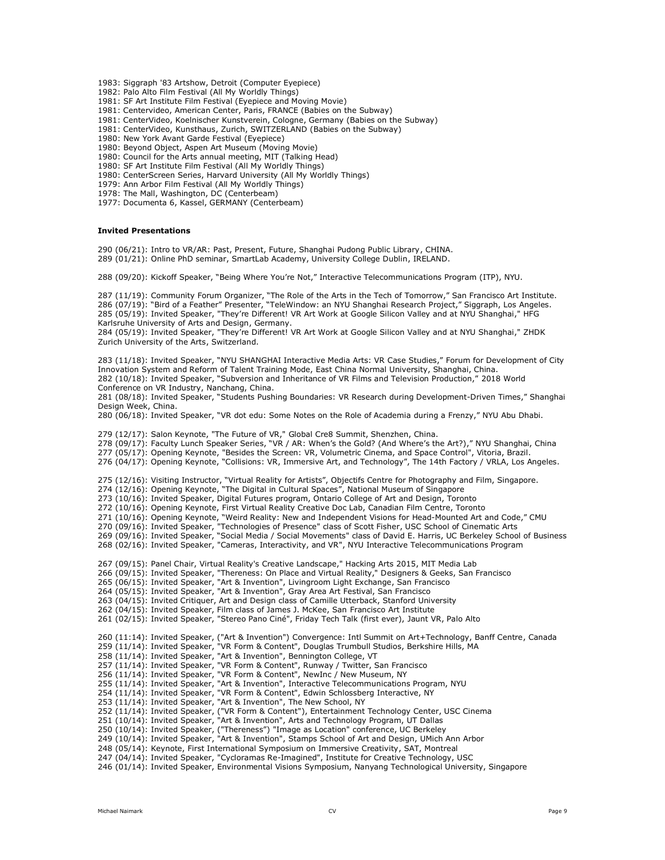1983: Siggraph '83 Artshow, Detroit (Computer Eyepiece)

1982: Palo Alto Film Festival (All My Worldly Things)

1981: SF Art Institute Film Festival (Eyepiece and Moving Movie)

1981: Centervideo, American Center, Paris, FRANCE (Babies on the Subway)

1981: CenterVideo, Koelnischer Kunstverein, Cologne, Germany (Babies on the Subway)

1981: CenterVideo, Kunsthaus, Zurich, SWITZERLAND (Babies on the Subway)

1980: New York Avant Garde Festival (Eyepiece)

1980: Beyond Object, Aspen Art Museum (Moving Movie)

1980: Council for the Arts annual meeting, MIT (Talking Head)

1980: SF Art Institute Film Festival (All My Worldly Things)

1980: CenterScreen Series, Harvard University (All My Worldly Things)

1979: Ann Arbor Film Festival (All My Worldly Things)

1978: The Mall, Washington, DC (Centerbeam)

1977: Documenta 6, Kassel, GERMANY (Centerbeam)

# **Invited Presentations**

290 (06/21): Intro to VR/AR: Past, Present, Future, Shanghai Pudong Public Library, CHINA. 289 (01/21): Online PhD seminar, SmartLab Academy, University College Dublin, IRELAND.

288 (09/20): Kickoff Speaker, "Being Where You're Not," Interactive Telecommunications Program (ITP), NYU.

287 (11/19): Community Forum Organizer, "The Role of the Arts in the Tech of Tomorrow," San Francisco Art Institute. 286 (07/19): "Bird of a Feather" Presenter, "TeleWindow: an NYU Shanghai Research Project," Siggraph, Los Angeles. 285 (05/19): Invited Speaker, "They're Different! VR Art Work at Google Silicon Valley and at NYU Shanghai," HFG Karlsruhe University of Arts and Design, Germany.

284 (05/19): Invited Speaker, "They're Different! VR Art Work at Google Silicon Valley and at NYU Shanghai," ZHDK Zurich University of the Arts, Switzerland.

283 (11/18): Invited Speaker, "NYU SHANGHAI Interactive Media Arts: VR Case Studies," Forum for Development of City Innovation System and Reform of Talent Training Mode, East China Normal University, Shanghai, China. 282 (10/18): Invited Speaker, "Subversion and Inheritance of VR Films and Television Production," 2018 World Conference on VR Industry, Nanchang, China. 281 (08/18): Invited Speaker, "Students Pushing Boundaries: VR Research during Development-Driven Times," Shanghai Design Week, China.

280 (06/18): Invited Speaker, "VR dot edu: Some Notes on the Role of Academia during a Frenzy," NYU Abu Dhabi.

279 (12/17): Salon Keynote, "The Future of VR," Global Cre8 Summit, Shenzhen, China.

278 (09/17): Faculty Lunch Speaker Series, "VR / AR: When's the Gold? (And Where's the Art?)," NYU Shanghai, China

277 (05/17): Opening Keynote, "Besides the Screen: VR, Volumetric Cinema, and Space Control", Vitoria, Brazil.

276 (04/17): Opening Keynote, "Collisions: VR, Immersive Art, and Technology", The 14th Factory / VRLA, Los Angeles.

275 (12/16): Visiting Instructor, "Virtual Reality for Artists", Objectifs Centre for Photography and Film, Singapore.

274 (12/16): Opening Keynote, "The Digital in Cultural Spaces", National Museum of Singapore

273 (10/16): Invited Speaker, Digital Futures program, Ontario College of Art and Design, Toronto

272 (10/16): Opening Keynote, First Virtual Reality Creative Doc Lab, Canadian Film Centre, Toronto

271 (10/16): Opening Keynote, "Weird Reality: New and Independent Visions for Head-Mounted Art and Code," CMU

270 (09/16): Invited Speaker, "Technologies of Presence" class of Scott Fisher, USC School of Cinematic Arts

- 269 (09/16): Invited Speaker, "Social Media / Social Movements" class of David E. Harris, UC Berkeley School of Business
- 268 (02/16): Invited Speaker, "Cameras, Interactivity, and VR", NYU Interactive Telecommunications Program

267 (09/15): Panel Chair, Virtual Reality's Creative Landscape," Hacking Arts 2015, MIT Media Lab

266 (09/15): Invited Speaker, "Thereness: On Place and Virtual Reality," Designers & Geeks, San Francisco

265 (06/15): Invited Speaker, "Art & Invention", Livingroom Light Exchange, San Francisco

264 (05/15): Invited Speaker, "Art & Invention", Gray Area Art Festival, San Francisco

263 (04/15): Invited Critiquer, Art and Design class of Camille Utterback, Stanford University

262 (04/15): Invited Speaker, Film class of James J. McKee, San Francisco Art Institute

261 (02/15): Invited Speaker, "Stereo Pano Ciné", Friday Tech Talk (first ever), Jaunt VR, Palo Alto

260 (11:14): Invited Speaker, ("Art & Invention") Convergence: Intl Summit on Art+Technology, Banff Centre, Canada

259 (11/14): Invited Speaker, "VR Form & Content", Douglas Trumbull Studios, Berkshire Hills, MA

258 (11/14): Invited Speaker, "Art & Invention", Bennington College, VT

257 (11/14): Invited Speaker, "VR Form & Content", Runway / Twitter, San Francisco

256 (11/14): Invited Speaker, "VR Form & Content", NewInc / New Museum, NY

255 (11/14): Invited Speaker, "Art & Invention", Interactive Telecommunications Program, NYU

254 (11/14): Invited Speaker, "VR Form & Content", Edwin Schlossberg Interactive, NY

253 (11/14): Invited Speaker, "Art & Invention", The New School, NY

252 (11/14): Invited Speaker, ("VR Form & Content"), Entertainment Technology Center, USC Cinema

251 (10/14): Invited Speaker, "Art & Invention", Arts and Technology Program, UT Dallas

250 (10/14): Invited Speaker, ("Thereness") "Image as Location" conference, UC Berkeley

249 (10/14): Invited Speaker, "Art & Invention", Stamps School of Art and Design, UMich Ann Arbor

248 (05/14): Keynote, First International Symposium on Immersive Creativity, SAT, Montreal

247 (04/14): Invited Speaker, "Cycloramas Re-Imagined", Institute for Creative Technology, USC

246 (01/14): Invited Speaker, Environmental Visions Symposium, Nanyang Technological University, Singapore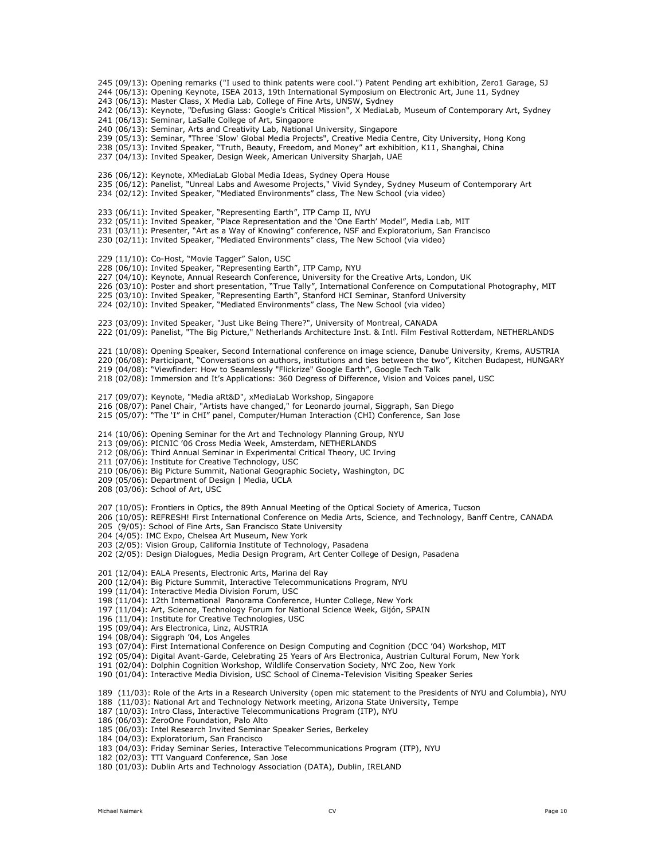245 (09/13): Opening remarks ("I used to think patents were cool.") Patent Pending art exhibition, Zero1 Garage, SJ

- 244 (06/13): Opening Keynote, ISEA 2013, 19th International Symposium on Electronic Art, June 11, Sydney
- 243 (06/13): Master Class, X Media Lab, College of Fine Arts, UNSW, Sydney
- 242 (06/13): Keynote, "Defusing Glass: Google's Critical Mission", X MediaLab, Museum of Contemporary Art, Sydney
- 241 (06/13): Seminar, LaSalle College of Art, Singapore
- 240 (06/13): Seminar, Arts and Creativity Lab, National University, Singapore
- 239 (05/13): Seminar, "Three 'Slow' Global Media Projects", Creative Media Centre, City University, Hong Kong
- 238 (05/13): Invited Speaker, "Truth, Beauty, Freedom, and Money" art exhibition, K11, Shanghai, China
- 237 (04/13): Invited Speaker, Design Week, American University Sharjah, UAE
- 236 (06/12): Keynote, XMediaLab Global Media Ideas, Sydney Opera House
- 235 (06/12): Panelist, "Unreal Labs and Awesome Projects," Vivid Syndey, Sydney Museum of Contemporary Art
- 234 (02/12): Invited Speaker, "Mediated Environments" class, The New School (via video)
- 233 (06/11): Invited Speaker, "Representing Earth", ITP Camp II, NYU
- 232 (05/11): Invited Speaker, "Place Representation and the 'One Earth' Model", Media Lab, MIT
- 231 (03/11): Presenter, "Art as a Way of Knowing" conference, NSF and Exploratorium, San Francisco
- 230 (02/11): Invited Speaker, "Mediated Environments" class, The New School (via video)
- 229 (11/10): Co-Host, "Movie Tagger" Salon, USC
- 228 (06/10): Invited Speaker, "Representing Earth", ITP Camp, NYU
- 227 (04/10): Keynote, Annual Research Conference, University for the Creative Arts, London, UK
- 226 (03/10): Poster and short presentation, "True Tally", International Conference on Computational Photography, MIT
- 225 (03/10): Invited Speaker, "Representing Earth", Stanford HCI Seminar, Stanford University
- 224 (02/10): Invited Speaker, "Mediated Environments" class, The New School (via video)
- 223 (03/09): Invited Speaker, "Just Like Being There?", University of Montreal, CANADA
- 222 (01/09): Panelist, "The Big Picture," Netherlands Architecture Inst. & Intl. Film Festival Rotterdam, NETHERLANDS
- 221 (10/08): Opening Speaker, Second International conference on image science, Danube University, Krems, AUSTRIA
- 220 (06/08): Participant, "Conversations on authors, institutions and ties between the two", Kitchen Budapest, HUNGARY
- 219 (04/08): "Viewfinder: How to Seamlessly "Flickrize" Google Earth", Google Tech Talk
- 218 (02/08): Immersion and It's Applications: 360 Degress of Difference, Vision and Voices panel, USC
- 217 (09/07): Keynote, "Media aRt&D", xMediaLab Workshop, Singapore
- 216 (08/07): Panel Chair, "Artists have changed," for Leonardo journal, Siggraph, San Diego
- 215 (05/07): "The 'I" in CHI" panel, Computer/Human Interaction (CHI) Conference, San Jose
- 214 (10/06): Opening Seminar for the Art and Technology Planning Group, NYU
- 213 (09/06): PICNIC '06 Cross Media Week, Amsterdam, NETHERLANDS
- 212 (08/06): Third Annual Seminar in Experimental Critical Theory, UC Irving
- 211 (07/06): Institute for Creative Technology, USC
- 210 (06/06): Big Picture Summit, National Geographic Society, Washington, DC
- 209 (05/06): Department of Design | Media, UCLA
- 208 (03/06): School of Art, USC
- 207 (10/05): Frontiers in Optics, the 89th Annual Meeting of the Optical Society of America, Tucson
- 206 (10/05): REFRESH! First International Conference on Media Arts, Science, and Technology, Banff Centre, CANADA
- 205 (9/05): School of Fine Arts, San Francisco State University
- 204 (4/05): IMC Expo, Chelsea Art Museum, New York
- 203 (2/05): Vision Group, California Institute of Technology, Pasadena
- 202 (2/05): Design Dialogues, Media Design Program, Art Center College of Design, Pasadena
- 201 (12/04): EALA Presents, Electronic Arts, Marina del Ray
- 200 (12/04): Big Picture Summit, Interactive Telecommunications Program, NYU
- 199 (11/04): Interactive Media Division Forum, USC
- 198 (11/04): 12th International Panorama Conference, Hunter College, New York
- 197 (11/04): Art, Science, Technology Forum for National Science Week, Gijón, SPAIN
- 196 (11/04): Institute for Creative Technologies, USC
- 195 (09/04): Ars Electronica, Linz, AUSTRIA
- 194 (08/04): Siggraph '04, Los Angeles
- 193 (07/04): First International Conference on Design Computing and Cognition (DCC '04) Workshop, MIT
- 192 (05/04): Digital Avant-Garde, Celebrating 25 Years of Ars Electronica, Austrian Cultural Forum, New York
- 191 (02/04): Dolphin Cognition Workshop, Wildlife Conservation Society, NYC Zoo, New York
- 190 (01/04): Interactive Media Division, USC School of Cinema-Television Visiting Speaker Series
- 189 (11/03): Role of the Arts in a Research University (open mic statement to the Presidents of NYU and Columbia), NYU
- 188 (11/03): National Art and Technology Network meeting, Arizona State University, Tempe
- 187 (10/03): Intro Class, Interactive Telecommunications Program (ITP), NYU
- 186 (06/03): ZeroOne Foundation, Palo Alto
- 185 (06/03): Intel Research Invited Seminar Speaker Series, Berkeley
- 184 (04/03): Exploratorium, San Francisco
- 183 (04/03): Friday Seminar Series, Interactive Telecommunications Program (ITP), NYU
- 182 (02/03): TTI Vanguard Conference, San Jose
- 180 (01/03): Dublin Arts and Technology Association (DATA), Dublin, IRELAND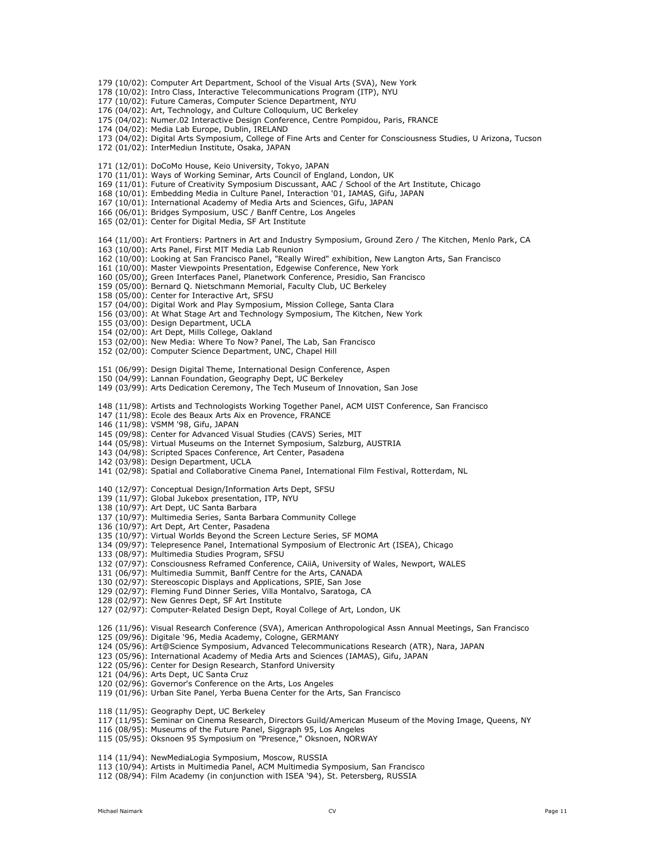179 (10/02): Computer Art Department, School of the Visual Arts (SVA), New York

- 178 (10/02): Intro Class, Interactive Telecommunications Program (ITP), NYU
- 177 (10/02): Future Cameras, Computer Science Department, NYU
- 176 (04/02): Art, Technology, and Culture Colloquium, UC Berkeley
- 175 (04/02): Numer.02 Interactive Design Conference, Centre Pompidou, Paris, FRANCE
- 174 (04/02): Media Lab Europe, Dublin, IRELAND
- 173 (04/02): Digital Arts Symposium, College of Fine Arts and Center for Consciousness Studies, U Arizona, Tucson
- 172 (01/02): InterMediun Institute, Osaka, JAPAN
- 171 (12/01): DoCoMo House, Keio University, Tokyo, JAPAN
- 170 (11/01): Ways of Working Seminar, Arts Council of England, London, UK
- 169 (11/01): Future of Creativity Symposium Discussant, AAC / School of the Art Institute, Chicago
- 168 (10/01): Embedding Media in Culture Panel, Interaction '01, IAMAS, Gifu, JAPAN
- 167 (10/01): International Academy of Media Arts and Sciences, Gifu, JAPAN
- 166 (06/01): Bridges Symposium, USC / Banff Centre, Los Angeles
- 165 (02/01): Center for Digital Media, SF Art Institute
- 164 (11/00): Art Frontiers: Partners in Art and Industry Symposium, Ground Zero / The Kitchen, Menlo Park, CA
- 163 (10/00): Arts Panel, First MIT Media Lab Reunion
- 162 (10/00): Looking at San Francisco Panel, "Really Wired" exhibition, New Langton Arts, San Francisco
- 161 (10/00): Master Viewpoints Presentation, Edgewise Conference, New York
- 160 (05/00); Green Interfaces Panel, Planetwork Conference, Presidio, San Francisco
- 159 (05/00): Bernard Q. Nietschmann Memorial, Faculty Club, UC Berkeley
- 158 (05/00): Center for Interactive Art, SFSU
- 157 (04/00): Digital Work and Play Symposium, Mission College, Santa Clara
- 156 (03/00): At What Stage Art and Technology Symposium, The Kitchen, New York
- 155 (03/00): Design Department, UCLA
- 154 (02/00): Art Dept, Mills College, Oakland
- 153 (02/00): New Media: Where To Now? Panel, The Lab, San Francisco
- 152 (02/00): Computer Science Department, UNC, Chapel Hill
- 151 (06/99): Design Digital Theme, International Design Conference, Aspen
- 150 (04/99): Lannan Foundation, Geography Dept, UC Berkeley
- 149 (03/99): Arts Dedication Ceremony, The Tech Museum of Innovation, San Jose
- 148 (11/98): Artists and Technologists Working Together Panel, ACM UIST Conference, San Francisco
- 147 (11/98): Ecole des Beaux Arts Aix en Provence, FRANCE
- 146 (11/98): VSMM '98, Gifu, JAPAN
- 145 (09/98): Center for Advanced Visual Studies (CAVS) Series, MIT
- 144 (05/98): Virtual Museums on the Internet Symposium, Salzburg, AUSTRIA
- 143 (04/98): Scripted Spaces Conference, Art Center, Pasadena
- 142 (03/98): Design Department, UCLA
- 141 (02/98): Spatial and Collaborative Cinema Panel, International Film Festival, Rotterdam, NL
- 140 (12/97): Conceptual Design/Information Arts Dept, SFSU
- 139 (11/97): Global Jukebox presentation, ITP, NYU
- 138 (10/97): Art Dept, UC Santa Barbara
- 137 (10/97): Multimedia Series, Santa Barbara Community College
- 136 (10/97): Art Dept, Art Center, Pasadena
- 135 (10/97): Virtual Worlds Beyond the Screen Lecture Series, SF MOMA
- 134 (09/97): Telepresence Panel, International Symposium of Electronic Art (ISEA), Chicago
- 133 (08/97): Multimedia Studies Program, SFSU
- 132 (07/97): Consciousness Reframed Conference, CAiiA, University of Wales, Newport, WALES
- 131 (06/97): Multimedia Summit, Banff Centre for the Arts, CANADA
- 130 (02/97): Stereoscopic Displays and Applications, SPIE, San Jose
- 129 (02/97): Fleming Fund Dinner Series, Villa Montalvo, Saratoga, CA
- 128 (02/97): New Genres Dept, SF Art Institute
- 127 (02/97): Computer-Related Design Dept, Royal College of Art, London, UK
- 126 (11/96): Visual Research Conference (SVA), American Anthropological Assn Annual Meetings, San Francisco
- 125 (09/96): Digitale '96, Media Academy, Cologne, GERMANY
- 124 (05/96): Art@Science Symposium, Advanced Telecommunications Research (ATR), Nara, JAPAN
- 123 (05/96): International Academy of Media Arts and Sciences (IAMAS), Gifu, JAPAN
- 122 (05/96): Center for Design Research, Stanford University
- 121 (04/96): Arts Dept, UC Santa Cruz
- 120 (02/96): Governor's Conference on the Arts, Los Angeles
- 119 (01/96): Urban Site Panel, Yerba Buena Center for the Arts, San Francisco
- 118 (11/95): Geography Dept, UC Berkeley
- 117 (11/95): Seminar on Cinema Research, Directors Guild/American Museum of the Moving Image, Queens, NY
- 116 (08/95): Museums of the Future Panel, Siggraph 95, Los Angeles
- 115 (05/95): Oksnoen 95 Symposium on "Presence," Oksnoen, NORWAY
- 114 (11/94): NewMediaLogia Symposium, Moscow, RUSSIA
- 113 (10/94): Artists in Multimedia Panel, ACM Multimedia Symposium, San Francisco
- 112 (08/94): Film Academy (in conjunction with ISEA '94), St. Petersberg, RUSSIA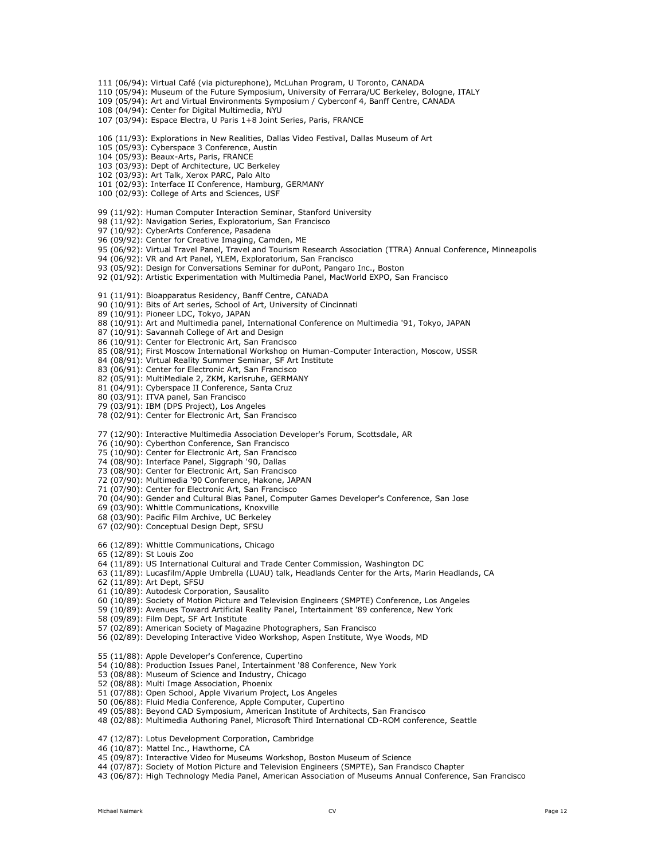- 111 (06/94): Virtual Café (via picturephone), McLuhan Program, U Toronto, CANADA
- 110 (05/94): Museum of the Future Symposium, University of Ferrara/UC Berkeley, Bologne, ITALY
- 109 (05/94): Art and Virtual Environments Symposium / Cyberconf 4, Banff Centre, CANADA
- 108 (04/94): Center for Digital Multimedia, NYU
- 107 (03/94): Espace Electra, U Paris 1+8 Joint Series, Paris, FRANCE
- 106 (11/93): Explorations in New Realities, Dallas Video Festival, Dallas Museum of Art
- 105 (05/93): Cyberspace 3 Conference, Austin
- 104 (05/93): Beaux-Arts, Paris, FRANCE
- 103 (03/93): Dept of Architecture, UC Berkeley
- 102 (03/93): Art Talk, Xerox PARC, Palo Alto
- 101 (02/93): Interface II Conference, Hamburg, GERMANY
- 100 (02/93): College of Arts and Sciences, USF
- 99 (11/92): Human Computer Interaction Seminar, Stanford University
- 98 (11/92): Navigation Series, Exploratorium, San Francisco
- 97 (10/92): CyberArts Conference, Pasadena
- 96 (09/92): Center for Creative Imaging, Camden, ME
- 95 (06/92): Virtual Travel Panel, Travel and Tourism Research Association (TTRA) Annual Conference, Minneapolis
- 94 (06/92): VR and Art Panel, YLEM, Exploratorium, San Francisco
- 93 (05/92): Design for Conversations Seminar for duPont, Pangaro Inc., Boston
- 92 (01/92): Artistic Experimentation with Multimedia Panel, MacWorld EXPO, San Francisco
- 91 (11/91): Bioapparatus Residency, Banff Centre, CANADA
- 90 (10/91): Bits of Art series, School of Art, University of Cincinnati
- 89 (10/91): Pioneer LDC, Tokyo, JAPAN
- 88 (10/91): Art and Multimedia panel, International Conference on Multimedia '91, Tokyo, JAPAN
- 87 (10/91): Savannah College of Art and Design
- 86 (10/91): Center for Electronic Art, San Francisco
- 85 (08/91); First Moscow International Workshop on Human-Computer Interaction, Moscow, USSR
- 84 (08/91): Virtual Reality Summer Seminar, SF Art Institute
- 83 (06/91): Center for Electronic Art, San Francisco
- 82 (05/91): MultiMediale 2, ZKM, Karlsruhe, GERMANY
- 81 (04/91): Cyberspace II Conference, Santa Cruz
- 80 (03/91): ITVA panel, San Francisco
- 79 (03/91): IBM (DPS Project), Los Angeles
- 78 (02/91): Center for Electronic Art, San Francisco
- 77 (12/90): Interactive Multimedia Association Developer's Forum, Scottsdale, AR
- 76 (10/90): Cyberthon Conference, San Francisco
- 75 (10/90): Center for Electronic Art, San Francisco
- 74 (08/90): Interface Panel, Siggraph '90, Dallas
- 73 (08/90): Center for Electronic Art, San Francisco
- 72 (07/90): Multimedia '90 Conference, Hakone, JAPAN
- 71 (07/90): Center for Electronic Art, San Francisco
- 70 (04/90): Gender and Cultural Bias Panel, Computer Games Developer's Conference, San Jose
- 69 (03/90): Whittle Communications, Knoxville
- 68 (03/90): Pacific Film Archive, UC Berkeley
- 67 (02/90): Conceptual Design Dept, SFSU
- 66 (12/89): Whittle Communications, Chicago
- 65 (12/89): St Louis Zoo
- 64 (11/89): US International Cultural and Trade Center Commission, Washington DC
- 63 (11/89): Lucasfilm/Apple Umbrella (LUAU) talk, Headlands Center for the Arts, Marin Headlands, CA
- 62 (11/89): Art Dept, SFSU
- 61 (10/89): Autodesk Corporation, Sausalito
- 60 (10/89): Society of Motion Picture and Television Engineers (SMPTE) Conference, Los Angeles
- 59 (10/89): Avenues Toward Artificial Reality Panel, Intertainment '89 conference, New York
- 58 (09/89): Film Dept, SF Art Institute
- 57 (02/89): American Society of Magazine Photographers, San Francisco
- 56 (02/89): Developing Interactive Video Workshop, Aspen Institute, Wye Woods, MD
- 55 (11/88): Apple Developer's Conference, Cupertino
- 54 (10/88): Production Issues Panel, Intertainment '88 Conference, New York
- 53 (08/88): Museum of Science and Industry, Chicago
- 52 (08/88): Multi Image Association, Phoenix
- 51 (07/88): Open School, Apple Vivarium Project, Los Angeles
- 50 (06/88): Fluid Media Conference, Apple Computer, Cupertino
- 49 (05/88): Beyond CAD Symposium, American Institute of Architects, San Francisco
- 48 (02/88): Multimedia Authoring Panel, Microsoft Third International CD-ROM conference, Seattle
- 47 (12/87): Lotus Development Corporation, Cambridge
- 46 (10/87): Mattel Inc., Hawthorne, CA
- 45 (09/87): Interactive Video for Museums Workshop, Boston Museum of Science
- 44 (07/87): Society of Motion Picture and Television Engineers (SMPTE), San Francisco Chapter
- 43 (06/87): High Technology Media Panel, American Association of Museums Annual Conference, San Francisco